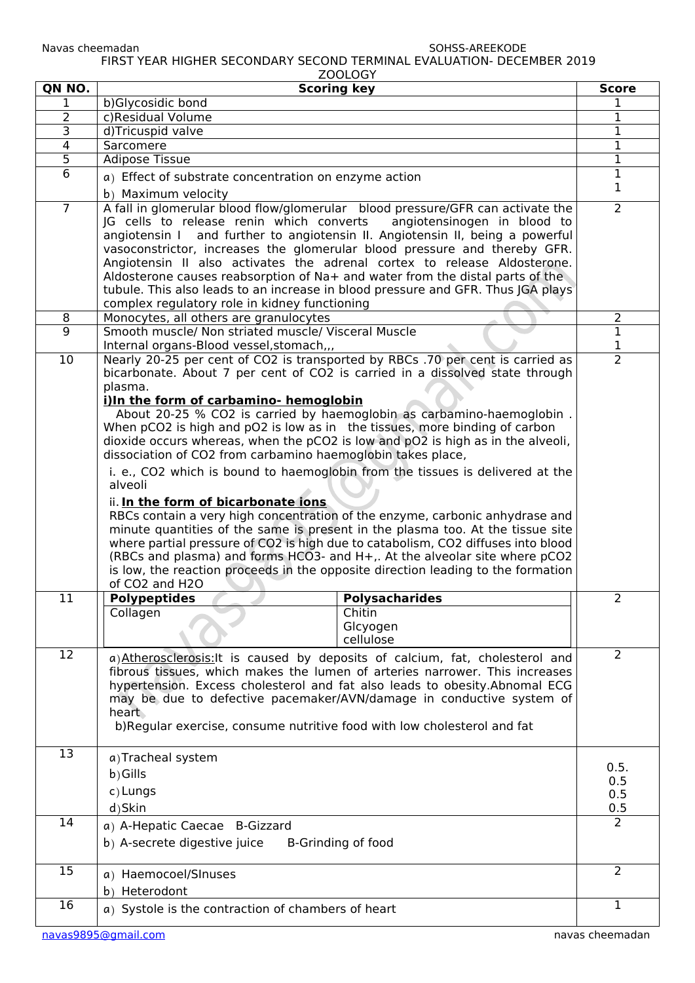Navas cheemadan SOHSS-AREEKODE FIRST YEAR HIGHER SECONDARY SECOND TERMINAL EVALUATION- DECEMBER 2019

|                 | ZOOLOGY                                                                                                                                                                                                                                                                                                                                                                                                                                                                                                                                                                                                                                                                                                                                                                                                                                                                                                                                                                                                                                                                                                   |                       |
|-----------------|-----------------------------------------------------------------------------------------------------------------------------------------------------------------------------------------------------------------------------------------------------------------------------------------------------------------------------------------------------------------------------------------------------------------------------------------------------------------------------------------------------------------------------------------------------------------------------------------------------------------------------------------------------------------------------------------------------------------------------------------------------------------------------------------------------------------------------------------------------------------------------------------------------------------------------------------------------------------------------------------------------------------------------------------------------------------------------------------------------------|-----------------------|
| QN NO.          | <b>Scoring key</b>                                                                                                                                                                                                                                                                                                                                                                                                                                                                                                                                                                                                                                                                                                                                                                                                                                                                                                                                                                                                                                                                                        | <b>Score</b>          |
| 1<br>2          | b)Glycosidic bond<br>c)Residual Volume                                                                                                                                                                                                                                                                                                                                                                                                                                                                                                                                                                                                                                                                                                                                                                                                                                                                                                                                                                                                                                                                    |                       |
| 3               | d)Tricuspid valve                                                                                                                                                                                                                                                                                                                                                                                                                                                                                                                                                                                                                                                                                                                                                                                                                                                                                                                                                                                                                                                                                         | 1<br>$\mathbf 1$      |
| 4               | Sarcomere                                                                                                                                                                                                                                                                                                                                                                                                                                                                                                                                                                                                                                                                                                                                                                                                                                                                                                                                                                                                                                                                                                 | $\mathbf{1}$          |
| 5               | <b>Adipose Tissue</b>                                                                                                                                                                                                                                                                                                                                                                                                                                                                                                                                                                                                                                                                                                                                                                                                                                                                                                                                                                                                                                                                                     | $\mathbf{1}$          |
| 6               |                                                                                                                                                                                                                                                                                                                                                                                                                                                                                                                                                                                                                                                                                                                                                                                                                                                                                                                                                                                                                                                                                                           | 1                     |
|                 | a) Effect of substrate concentration on enzyme action                                                                                                                                                                                                                                                                                                                                                                                                                                                                                                                                                                                                                                                                                                                                                                                                                                                                                                                                                                                                                                                     | 1                     |
| $\overline{7}$  | b) Maximum velocity<br>A fall in glomerular blood flow/glomerular blood pressure/GFR can activate the                                                                                                                                                                                                                                                                                                                                                                                                                                                                                                                                                                                                                                                                                                                                                                                                                                                                                                                                                                                                     | $\overline{2}$        |
|                 | JG cells to release renin which converts<br>angiotensinogen in blood to<br>angiotensin I and further to angiotensin II. Angiotensin II, being a powerful<br>vasoconstrictor, increases the glomerular blood pressure and thereby GFR.<br>Angiotensin II also activates the adrenal cortex to release Aldosterone.<br>Aldosterone causes reabsorption of Na+ and water from the distal parts of the<br>tubule. This also leads to an increase in blood pressure and GFR. Thus JGA plays<br>complex regulatory role in kidney functioning                                                                                                                                                                                                                                                                                                                                                                                                                                                                                                                                                                   |                       |
| 8               | Monocytes, all others are granulocytes                                                                                                                                                                                                                                                                                                                                                                                                                                                                                                                                                                                                                                                                                                                                                                                                                                                                                                                                                                                                                                                                    | 2                     |
| 9               | Smooth muscle/ Non striated muscle/ Visceral Muscle<br>Internal organs-Blood vessel, stomach,,,                                                                                                                                                                                                                                                                                                                                                                                                                                                                                                                                                                                                                                                                                                                                                                                                                                                                                                                                                                                                           | $\mathbf{1}$<br>1     |
| $\overline{10}$ | Nearly 20-25 per cent of CO2 is transported by RBCs .70 per cent is carried as<br>bicarbonate. About 7 per cent of CO2 is carried in a dissolved state through<br>plasma.<br>i)In the form of carbamino- hemoglobin<br>About 20-25 % CO2 is carried by haemoglobin as carbamino-haemoglobin.<br>When pCO2 is high and pO2 is low as in the tissues, more binding of carbon<br>dioxide occurs whereas, when the pCO2 is low and pO2 is high as in the alveoli,<br>dissociation of CO2 from carbamino haemoglobin takes place,<br>i. e., CO2 which is bound to haemoglobin from the tissues is delivered at the<br>alveoli<br>ii. In the form of bicarbonate ions<br>RBCs contain a very high concentration of the enzyme, carbonic anhydrase and<br>minute quantities of the same is present in the plasma too. At the tissue site<br>where partial pressure of CO2 is high due to catabolism, CO2 diffuses into blood<br>(RBCs and plasma) and forms HCO3- and H+,. At the alveolar site where pCO2<br>is low, the reaction proceeds in the opposite direction leading to the formation<br>of CO2 and H2O | $\overline{2}$        |
| 11              | <b>Polypeptides</b><br><b>Polysacharides</b><br>Collagen<br>Chitin<br>Glcyogen<br>cellulose                                                                                                                                                                                                                                                                                                                                                                                                                                                                                                                                                                                                                                                                                                                                                                                                                                                                                                                                                                                                               | 2                     |
| 12              | a) Atherosclerosis: It is caused by deposits of calcium, fat, cholesterol and<br>fibrous tissues, which makes the lumen of arteries narrower. This increases<br>hypertension. Excess cholesterol and fat also leads to obesity.Abnomal ECG<br>may be due to defective pacemaker/AVN/damage in conductive system of<br>heart<br>b)Regular exercise, consume nutritive food with low cholesterol and fat                                                                                                                                                                                                                                                                                                                                                                                                                                                                                                                                                                                                                                                                                                    | $\overline{2}$        |
| 13              | a) Tracheal system                                                                                                                                                                                                                                                                                                                                                                                                                                                                                                                                                                                                                                                                                                                                                                                                                                                                                                                                                                                                                                                                                        |                       |
|                 | b) Gills                                                                                                                                                                                                                                                                                                                                                                                                                                                                                                                                                                                                                                                                                                                                                                                                                                                                                                                                                                                                                                                                                                  | 0.5.                  |
|                 | c) Lungs                                                                                                                                                                                                                                                                                                                                                                                                                                                                                                                                                                                                                                                                                                                                                                                                                                                                                                                                                                                                                                                                                                  | 0.5<br>0.5            |
|                 | d)Skin                                                                                                                                                                                                                                                                                                                                                                                                                                                                                                                                                                                                                                                                                                                                                                                                                                                                                                                                                                                                                                                                                                    |                       |
| 14              |                                                                                                                                                                                                                                                                                                                                                                                                                                                                                                                                                                                                                                                                                                                                                                                                                                                                                                                                                                                                                                                                                                           | 0.5<br>$\overline{2}$ |
|                 | a) A-Hepatic Caecae B-Gizzard                                                                                                                                                                                                                                                                                                                                                                                                                                                                                                                                                                                                                                                                                                                                                                                                                                                                                                                                                                                                                                                                             |                       |
|                 | b) A-secrete digestive juice<br>B-Grinding of food                                                                                                                                                                                                                                                                                                                                                                                                                                                                                                                                                                                                                                                                                                                                                                                                                                                                                                                                                                                                                                                        |                       |
| 15              | a) Haemocoel/SInuses                                                                                                                                                                                                                                                                                                                                                                                                                                                                                                                                                                                                                                                                                                                                                                                                                                                                                                                                                                                                                                                                                      | $\overline{2}$        |
|                 | b) Heterodont                                                                                                                                                                                                                                                                                                                                                                                                                                                                                                                                                                                                                                                                                                                                                                                                                                                                                                                                                                                                                                                                                             |                       |
| 16              |                                                                                                                                                                                                                                                                                                                                                                                                                                                                                                                                                                                                                                                                                                                                                                                                                                                                                                                                                                                                                                                                                                           | $\mathbf{1}$          |
|                 | a) Systole is the contraction of chambers of heart                                                                                                                                                                                                                                                                                                                                                                                                                                                                                                                                                                                                                                                                                                                                                                                                                                                                                                                                                                                                                                                        |                       |
|                 |                                                                                                                                                                                                                                                                                                                                                                                                                                                                                                                                                                                                                                                                                                                                                                                                                                                                                                                                                                                                                                                                                                           |                       |

[navas9895@gmail.com](mailto:navas9895@gmail.com) and a structure of the control of the control of the control of the control of the control of the control of the control of the control of the control of the control of the control of the control of the